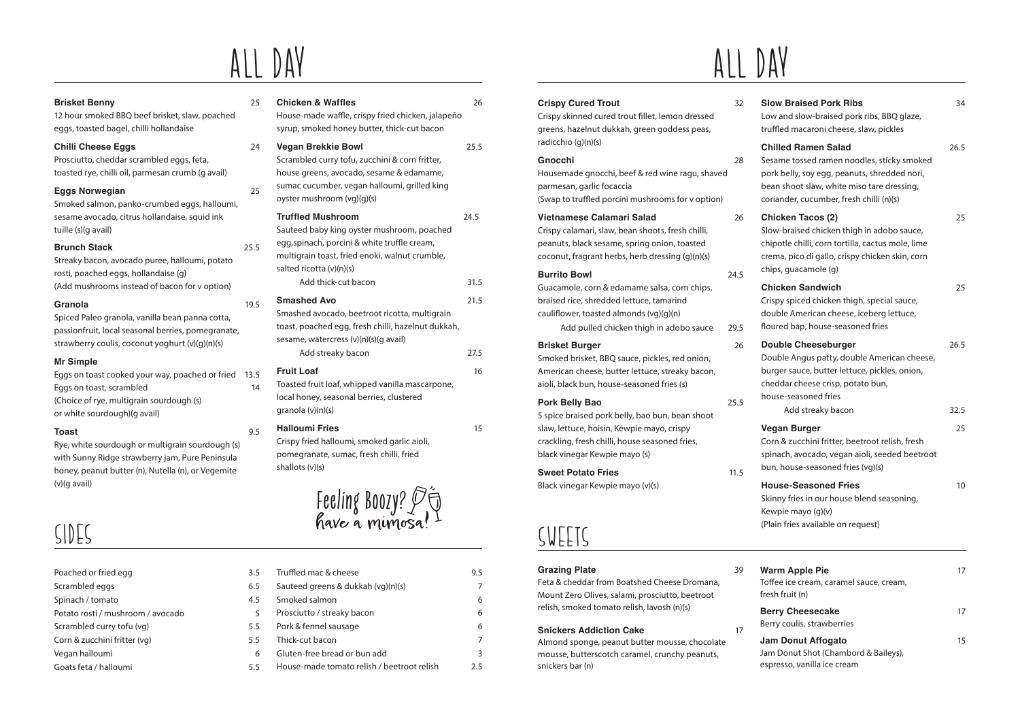# ALL DAY ALL DAY

#### **Brisket Benny** 25

12 hour smoked BBQ beef brisket, slaw, poached eggs, toasted bagel, chilli hollandaise

#### **Chilli Cheese Eggs** 24

Prosciutto, cheddar scrambled eggs, feta, toasted rye, chilli oil, parmesan crumb (g avail)

### **Eggs Norwegian** 25

Smoked salmon, panko-crumbed eggs, halloumi, sesame avocado, citrus hollandaise, squid ink tuille (s)(g avail)

### **Brunch Stack** 25.5

Streaky bacon, avocado puree, halloumi, potato rosti, poached eggs, hollandaise (g) (Add mushrooms instead of bacon for v option)

#### **Granola** 19.5

Spiced Paleo granola, vanilla bean panna cotta, passionfruit, local seasonal berries, pomegranate, strawberry coulis, coconut yoghurt (v)(g)(n)(s)

#### **Mr Simple**

Eggs on toast cooked your way, poached or fried 13.5 Eggs on toast, scrambled 14 (Choice of rye, multigrain sourdough (s) or white sourdough)(g avail)

#### **Toast** 9.5

Rye, white sourdough or multigrain sourdough (s) with Sunny Ridge strawberry jam, Pure Peninsula honey, peanut butter (n), Nutella (n), or Vegemite (v)(g avail)

# SIDES

| Poached or fried egg              | 3.5 |
|-----------------------------------|-----|
| Scrambled eggs                    | 6.5 |
| Spinach / tomato                  | 4.5 |
| Potato rosti / mushroom / avocado | 5   |
| Scrambled curry tofu (vg)         | 5.5 |
| Corn & zucchini fritter (vg)      | 5.5 |
| Vegan halloumi                    | 6   |
| Goats feta / halloumi             | 55  |

### House-made waffle, crispy fried chicken, jalapeño syrup, smoked honey butter, thick-cut bacon **Vegan Brekkie Bowl** 25.5 Scrambled curry tofu, zucchini & corn fritter, house greens, avocado, sesame & edamame, sumac cucumber, vegan halloumi, grilled king oyster mushroom (vg)(g)(s) **Truffled Mushroom** 24.5 Sauteed baby king oyster mushroom, poached egg,spinach, porcini & white truffle cream, multigrain toast, fried enoki, walnut crumble, salted ricotta (v)(n)(s) Add thick-cut bacon 31.5 **Smashed Avo** 21.5 Smashed avocado, beetroot ricotta, multigrain toast, poached egg, fresh chilli, hazelnut dukkah, sesame, watercress (v)(n)(s)(g avail) Add streaky bacon 27.5 **Fruit Loaf** 16 Toasted fruit loaf, whipped vanilla mascarpone, local honey, seasonal berries, clustered granola (v)(n)(s) **Halloumi Fries** 15

**Chicken & Waffles** 26

Crispy fried halloumi, smoked garlic aioli, pomegranate, sumac, fresh chilli, fried shallots (v)(s)



| 3.5 | Truffled mac & cheese                      | 9.5 |
|-----|--------------------------------------------|-----|
| 6.5 | Sauteed greens & dukkah (vg)(n)(s)         |     |
| 4.5 | Smoked salmon                              | 6   |
| 5   | Prosciutto / streaky bacon                 | 6   |
| 5.5 | Pork & fennel sausage                      | 6   |
| 5.5 | Thick-cut bacon                            |     |
| 6   | Gluten-free bread or bun add               | 3   |
| 5.5 | House-made tomato relish / beetroot relish | 25  |
|     |                                            |     |

### **Crispy Cured Trout** 32

Crispy skinned cured trout fillet, lemon dressed greens, hazelnut dukkah, green goddess peas, radicchio (g)(n)(s)

#### **Gnocchi** 28

Housemade gnocchi, beef & red wine ragu, shaved parmesan, garlic focaccia (Swap to truffled porcini mushrooms for v option)

### **Vietnamese Calamari Salad** 26

Crispy calamari, slaw, bean shoots, fresh chilli, peanuts, black sesame, spring onion, toasted coconut, fragrant herbs, herb dressing (g)(n)(s)

#### **Burrito Bowl** 24.5

Guacamole, corn & edamame salsa, corn chips, braised rice, shredded lettuce, tamarind cauliflower, toasted almonds (vg)(g)(n)

Add pulled chicken thigh in adobo sauce 29.5

### **Brisket Burger** 26

Smoked brisket, BBQ sauce, pickles, red onion, American cheese, butter lettuce, streaky bacon, aioli, black bun, house-seasoned fries (s)

### **Pork Belly Bao** 25.5

5 spice braised pork belly, bao bun, bean shoot slaw, lettuce, hoisin, Kewpie mayo, crispy crackling, fresh chilli, house seasoned fries, black vinegar Kewpie mayo (s)

#### **Sweet Potato Fries 11.5**

Black vinegar Kewpie mayo (v)(s)

### SwEETS

### Grazing Plate 39

Feta & cheddar from Boatshed Cheese Dromana, Mount Zero Olives, salami, prosciutto, beetroot relish, smoked tomato relish, lavosh (n)(s)

#### **Snickers Addiction Cake 17**

Almond sponge, peanut butter mousse, chocolate mousse, butterscotch caramel, crunchy peanuts, snickers bar (n)

|    | .<br>VAY                      |  |
|----|-------------------------------|--|
| マウ | <b>Slow Braised Pork Ribs</b> |  |

| Low and slow-braised pork ribs, BBQ glaze,<br>truffled macaroni cheese, slaw, pickles                                                                                                                  |      |
|--------------------------------------------------------------------------------------------------------------------------------------------------------------------------------------------------------|------|
| <b>Chilled Ramen Salad</b><br>Sesame tossed ramen noodles, sticky smoked<br>pork belly, soy egg, peanuts, shredded nori,<br>bean shoot slaw, white miso tare dressing,                                 | 26.5 |
| coriander, cucumber, fresh chilli (n)(s)                                                                                                                                                               |      |
| <b>Chicken Tacos (2)</b><br>Slow-braised chicken thigh in adobo sauce,<br>chipotle chilli, corn tortilla, cactus mole, lime<br>crema, pico di gallo, crispy chicken skin, corn<br>chips, guacamole (g) | 25   |
| <b>Chicken Sandwich</b><br>Crispy spiced chicken thigh, special sauce,<br>double American cheese, iceberg lettuce,<br>floured bap, house-seasoned fries                                                | 25   |
| <b>Double Cheeseburger</b><br>Double Angus patty, double American cheese,<br>burger sauce, butter lettuce, pickles, onion,<br>cheddar cheese crisp, potato bun,<br>house-seasoned fries                | 26.5 |
| Add streaky bacon                                                                                                                                                                                      | 32.5 |
| Vegan Burger<br>Corn & zucchini fritter, beetroot relish, fresh<br>spinach, avocado, vegan aioli, seeded beetroot<br>bun, house-seasoned fries (vg)(s)                                                 | 25   |
| <b>House-Seasoned Fries</b><br>Skinny fries in our house blend seasoning,<br>Kewpie mayo (g)(v)<br>(Plain fries available on request)                                                                  | 10   |
| <b>Warm Apple Pie</b><br>Toffee ice cream, caramel sauce, cream,<br>fresh fruit (n)                                                                                                                    | 17   |
| <b>Berry Cheesecake</b><br>Berry coulis, strawberries                                                                                                                                                  | 17   |
| <b>Jam Donut Affogato</b><br>Jam Donut Shot (Chambord & Baileys),                                                                                                                                      | 15   |

espresso, vanilla ice cream